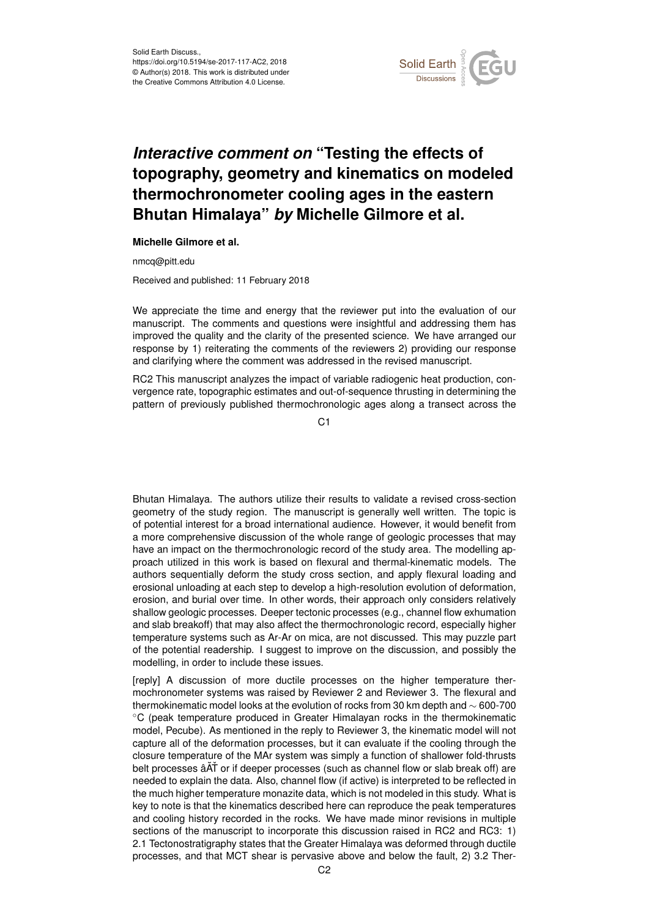

## *Interactive comment on* **"Testing the effects of topography, geometry and kinematics on modeled thermochronometer cooling ages in the eastern Bhutan Himalaya"** *by* **Michelle Gilmore et al.**

## **Michelle Gilmore et al.**

nmcq@pitt.edu

Received and published: 11 February 2018

We appreciate the time and energy that the reviewer put into the evaluation of our manuscript. The comments and questions were insightful and addressing them has improved the quality and the clarity of the presented science. We have arranged our response by 1) reiterating the comments of the reviewers 2) providing our response and clarifying where the comment was addressed in the revised manuscript.

RC2 This manuscript analyzes the impact of variable radiogenic heat production, convergence rate, topographic estimates and out-of-sequence thrusting in determining the pattern of previously published thermochronologic ages along a transect across the

 $C<sub>1</sub>$ 

Bhutan Himalaya. The authors utilize their results to validate a revised cross-section geometry of the study region. The manuscript is generally well written. The topic is of potential interest for a broad international audience. However, it would benefit from a more comprehensive discussion of the whole range of geologic processes that may have an impact on the thermochronologic record of the study area. The modelling approach utilized in this work is based on flexural and thermal-kinematic models. The authors sequentially deform the study cross section, and apply flexural loading and erosional unloading at each step to develop a high-resolution evolution of deformation, erosion, and burial over time. In other words, their approach only considers relatively shallow geologic processes. Deeper tectonic processes (e.g., channel flow exhumation and slab breakoff) that may also affect the thermochronologic record, especially higher temperature systems such as Ar-Ar on mica, are not discussed. This may puzzle part of the potential readership. I suggest to improve on the discussion, and possibly the modelling, in order to include these issues.

[reply] A discussion of more ductile processes on the higher temperature thermochronometer systems was raised by Reviewer 2 and Reviewer 3. The flexural and thermokinematic model looks at the evolution of rocks from 30 km depth and ∼ 600-700 ◦C (peak temperature produced in Greater Himalayan rocks in the thermokinematic model, Pecube). As mentioned in the reply to Reviewer 3, the kinematic model will not capture all of the deformation processes, but it can evaluate if the cooling through the closure temperature of the MAr system was simply a function of shallower fold-thrusts belt processes â $\tilde{A}$ T or if deeper processes (such as channel flow or slab break off) are needed to explain the data. Also, channel flow (if active) is interpreted to be reflected in the much higher temperature monazite data, which is not modeled in this study. What is key to note is that the kinematics described here can reproduce the peak temperatures and cooling history recorded in the rocks. We have made minor revisions in multiple sections of the manuscript to incorporate this discussion raised in RC2 and RC3: 1) 2.1 Tectonostratigraphy states that the Greater Himalaya was deformed through ductile processes, and that MCT shear is pervasive above and below the fault, 2) 3.2 Ther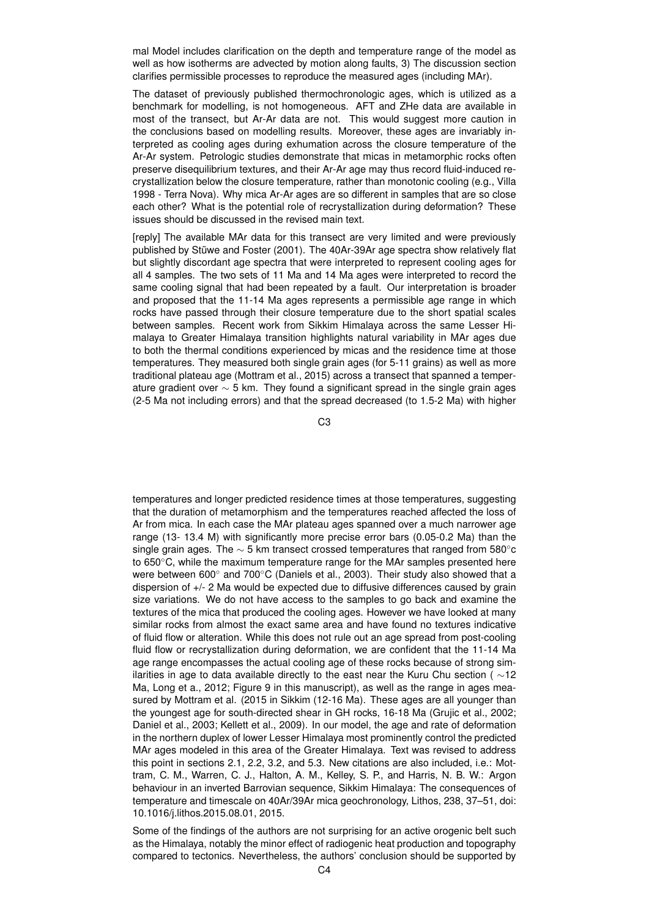mal Model includes clarification on the depth and temperature range of the model as well as how isotherms are advected by motion along faults, 3) The discussion section clarifies permissible processes to reproduce the measured ages (including MAr).

The dataset of previously published thermochronologic ages, which is utilized as a benchmark for modelling, is not homogeneous. AFT and ZHe data are available in most of the transect, but Ar-Ar data are not. This would suggest more caution in the conclusions based on modelling results. Moreover, these ages are invariably interpreted as cooling ages during exhumation across the closure temperature of the Ar-Ar system. Petrologic studies demonstrate that micas in metamorphic rocks often preserve disequilibrium textures, and their Ar-Ar age may thus record fluid-induced recrystallization below the closure temperature, rather than monotonic cooling (e.g., Villa 1998 - Terra Nova). Why mica Ar-Ar ages are so different in samples that are so close each other? What is the potential role of recrystallization during deformation? These issues should be discussed in the revised main text.

[reply] The available MAr data for this transect are very limited and were previously published by Stüwe and Foster (2001). The 40Ar-39Ar age spectra show relatively flat but slightly discordant age spectra that were interpreted to represent cooling ages for all 4 samples. The two sets of 11 Ma and 14 Ma ages were interpreted to record the same cooling signal that had been repeated by a fault. Our interpretation is broader and proposed that the 11-14 Ma ages represents a permissible age range in which rocks have passed through their closure temperature due to the short spatial scales between samples. Recent work from Sikkim Himalaya across the same Lesser Himalaya to Greater Himalaya transition highlights natural variability in MAr ages due to both the thermal conditions experienced by micas and the residence time at those temperatures. They measured both single grain ages (for 5-11 grains) as well as more traditional plateau age (Mottram et al., 2015) across a transect that spanned a temperature gradient over ∼ 5 km. They found a significant spread in the single grain ages (2-5 Ma not including errors) and that the spread decreased (to 1.5-2 Ma) with higher

C3

temperatures and longer predicted residence times at those temperatures, suggesting that the duration of metamorphism and the temperatures reached affected the loss of Ar from mica. In each case the MAr plateau ages spanned over a much narrower age range (13- 13.4 M) with significantly more precise error bars (0.05-0.2 Ma) than the single grain ages. The  $\sim$  5 km transect crossed temperatures that ranged from 580 $^{\circ}$ c to 650℃, while the maximum temperature range for the MAr samples presented here were between 600° and 700°C (Daniels et al., 2003). Their study also showed that a dispersion of +/- 2 Ma would be expected due to diffusive differences caused by grain size variations. We do not have access to the samples to go back and examine the textures of the mica that produced the cooling ages. However we have looked at many similar rocks from almost the exact same area and have found no textures indicative of fluid flow or alteration. While this does not rule out an age spread from post-cooling fluid flow or recrystallization during deformation, we are confident that the 11-14 Ma age range encompasses the actual cooling age of these rocks because of strong similarities in age to data available directly to the east near the Kuru Chu section ( $\sim$ 12 Ma. Long et a., 2012; Figure 9 in this manuscript), as well as the range in ages measured by Mottram et al. (2015 in Sikkim (12-16 Ma). These ages are all younger than the youngest age for south-directed shear in GH rocks, 16-18 Ma (Grujic et al., 2002; Daniel et al., 2003; Kellett et al., 2009). In our model, the age and rate of deformation in the northern duplex of lower Lesser Himalaya most prominently control the predicted MAr ages modeled in this area of the Greater Himalaya. Text was revised to address this point in sections 2.1, 2.2, 3.2, and 5.3. New citations are also included, i.e.: Mottram, C. M., Warren, C. J., Halton, A. M., Kelley, S. P., and Harris, N. B. W.: Argon behaviour in an inverted Barrovian sequence, Sikkim Himalaya: The consequences of temperature and timescale on 40Ar/39Ar mica geochronology, Lithos, 238, 37–51, doi: 10.1016/j.lithos.2015.08.01, 2015.

Some of the findings of the authors are not surprising for an active orogenic belt such as the Himalaya, notably the minor effect of radiogenic heat production and topography compared to tectonics. Nevertheless, the authors' conclusion should be supported by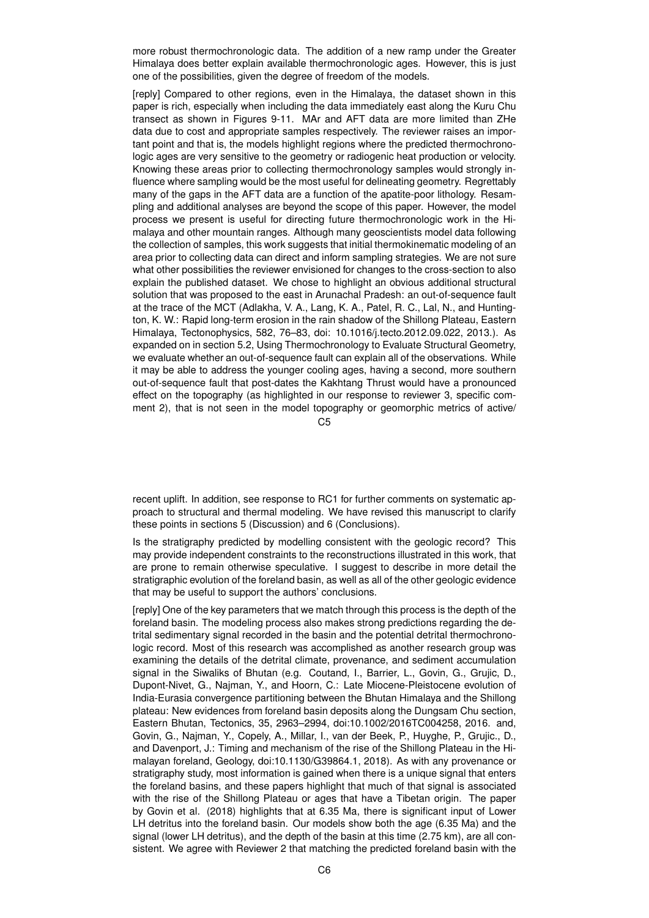more robust thermochronologic data. The addition of a new ramp under the Greater Himalaya does better explain available thermochronologic ages. However, this is just one of the possibilities, given the degree of freedom of the models.

[reply] Compared to other regions, even in the Himalaya, the dataset shown in this paper is rich, especially when including the data immediately east along the Kuru Chu transect as shown in Figures 9-11. MAr and AFT data are more limited than ZHe data due to cost and appropriate samples respectively. The reviewer raises an important point and that is, the models highlight regions where the predicted thermochronologic ages are very sensitive to the geometry or radiogenic heat production or velocity. Knowing these areas prior to collecting thermochronology samples would strongly influence where sampling would be the most useful for delineating geometry. Regrettably many of the gaps in the AFT data are a function of the apatite-poor lithology. Resampling and additional analyses are beyond the scope of this paper. However, the model process we present is useful for directing future thermochronologic work in the Himalaya and other mountain ranges. Although many geoscientists model data following the collection of samples, this work suggests that initial thermokinematic modeling of an area prior to collecting data can direct and inform sampling strategies. We are not sure what other possibilities the reviewer envisioned for changes to the cross-section to also explain the published dataset. We chose to highlight an obvious additional structural solution that was proposed to the east in Arunachal Pradesh: an out-of-sequence fault at the trace of the MCT (Adlakha, V. A., Lang, K. A., Patel, R. C., Lal, N., and Huntington, K. W.: Rapid long-term erosion in the rain shadow of the Shillong Plateau, Eastern Himalaya, Tectonophysics, 582, 76–83, doi: 10.1016/j.tecto.2012.09.022, 2013.). As expanded on in section 5.2, Using Thermochronology to Evaluate Structural Geometry, we evaluate whether an out-of-sequence fault can explain all of the observations. While it may be able to address the younger cooling ages, having a second, more southern out-of-sequence fault that post-dates the Kakhtang Thrust would have a pronounced effect on the topography (as highlighted in our response to reviewer 3, specific comment 2), that is not seen in the model topography or geomorphic metrics of active/

 $C<sub>5</sub>$ 

recent uplift. In addition, see response to RC1 for further comments on systematic approach to structural and thermal modeling. We have revised this manuscript to clarify these points in sections 5 (Discussion) and 6 (Conclusions).

Is the stratigraphy predicted by modelling consistent with the geologic record? This may provide independent constraints to the reconstructions illustrated in this work, that are prone to remain otherwise speculative. I suggest to describe in more detail the stratigraphic evolution of the foreland basin, as well as all of the other geologic evidence that may be useful to support the authors' conclusions.

[reply] One of the key parameters that we match through this process is the depth of the foreland basin. The modeling process also makes strong predictions regarding the detrital sedimentary signal recorded in the basin and the potential detrital thermochronologic record. Most of this research was accomplished as another research group was examining the details of the detrital climate, provenance, and sediment accumulation signal in the Siwaliks of Bhutan (e.g. Coutand, I., Barrier, L., Govin, G., Grujic, D., Dupont-Nivet, G., Najman, Y., and Hoorn, C.: Late Miocene-Pleistocene evolution of India-Eurasia convergence partitioning between the Bhutan Himalaya and the Shillong plateau: New evidences from foreland basin deposits along the Dungsam Chu section, Eastern Bhutan, Tectonics, 35, 2963–2994, doi:10.1002/2016TC004258, 2016. and, Govin, G., Najman, Y., Copely, A., Millar, I., van der Beek, P., Huyghe, P., Grujic., D., and Davenport, J.: Timing and mechanism of the rise of the Shillong Plateau in the Himalayan foreland, Geology, doi:10.1130/G39864.1, 2018). As with any provenance or stratigraphy study, most information is gained when there is a unique signal that enters the foreland basins, and these papers highlight that much of that signal is associated with the rise of the Shillong Plateau or ages that have a Tibetan origin. The paper by Govin et al. (2018) highlights that at 6.35 Ma, there is significant input of Lower LH detritus into the foreland basin. Our models show both the age (6.35 Ma) and the signal (lower LH detritus), and the depth of the basin at this time (2.75 km), are all consistent. We agree with Reviewer 2 that matching the predicted foreland basin with the